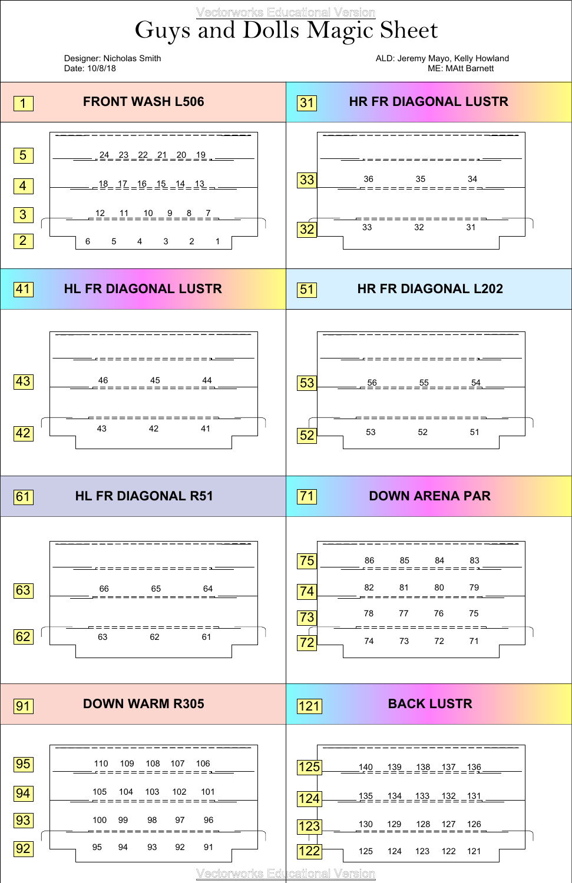## Guys and Dolls Magic Sheet Vectorworks Educational Version

Designer: Nicholas Smith ALD: Jeremy Mayo, Kelly Howland Date: 10/8/18 ME: MAtt Barnett